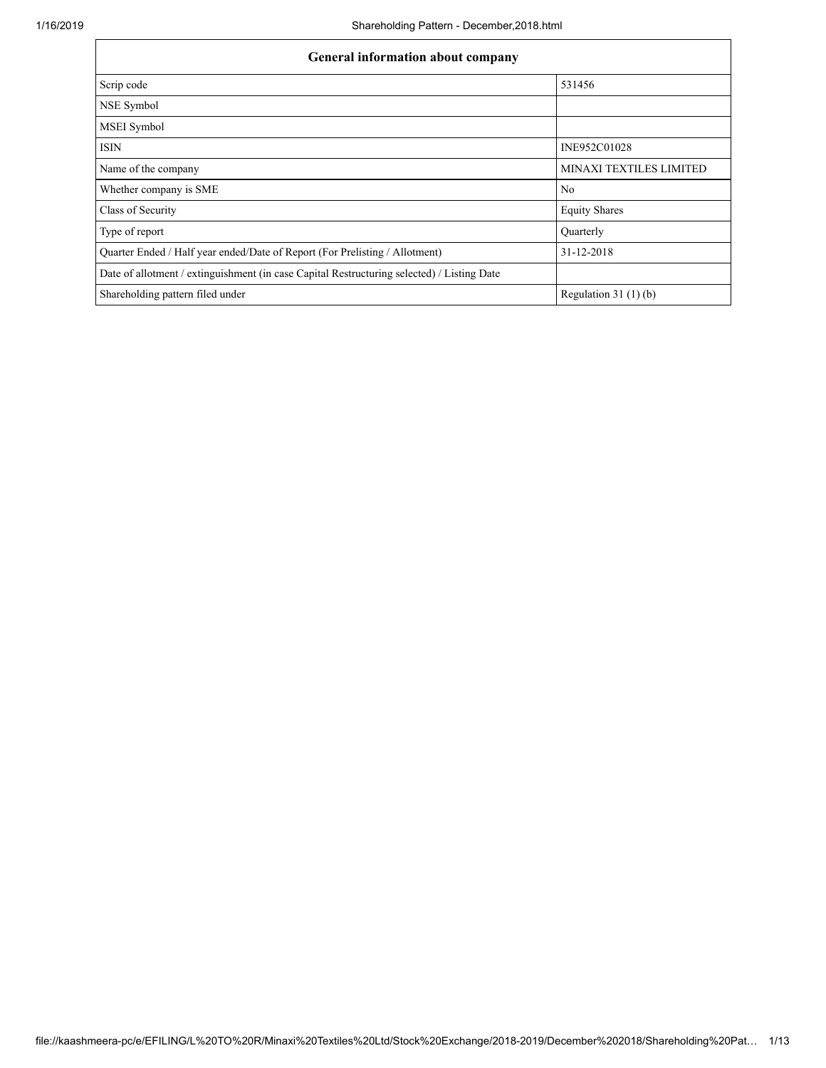| General information about company                                                          |                                |  |  |  |  |  |  |  |
|--------------------------------------------------------------------------------------------|--------------------------------|--|--|--|--|--|--|--|
| Scrip code                                                                                 | 531456                         |  |  |  |  |  |  |  |
| NSE Symbol                                                                                 |                                |  |  |  |  |  |  |  |
| <b>MSEI</b> Symbol                                                                         |                                |  |  |  |  |  |  |  |
| <b>ISIN</b>                                                                                | INE952C01028                   |  |  |  |  |  |  |  |
| Name of the company                                                                        | <b>MINAXI TEXTILES LIMITED</b> |  |  |  |  |  |  |  |
| Whether company is SME                                                                     | N <sub>0</sub>                 |  |  |  |  |  |  |  |
| Class of Security                                                                          | <b>Equity Shares</b>           |  |  |  |  |  |  |  |
| Type of report                                                                             | Quarterly                      |  |  |  |  |  |  |  |
| Quarter Ended / Half year ended/Date of Report (For Prelisting / Allotment)                | 31-12-2018                     |  |  |  |  |  |  |  |
| Date of allotment / extinguishment (in case Capital Restructuring selected) / Listing Date |                                |  |  |  |  |  |  |  |
| Shareholding pattern filed under                                                           | Regulation $31(1)(b)$          |  |  |  |  |  |  |  |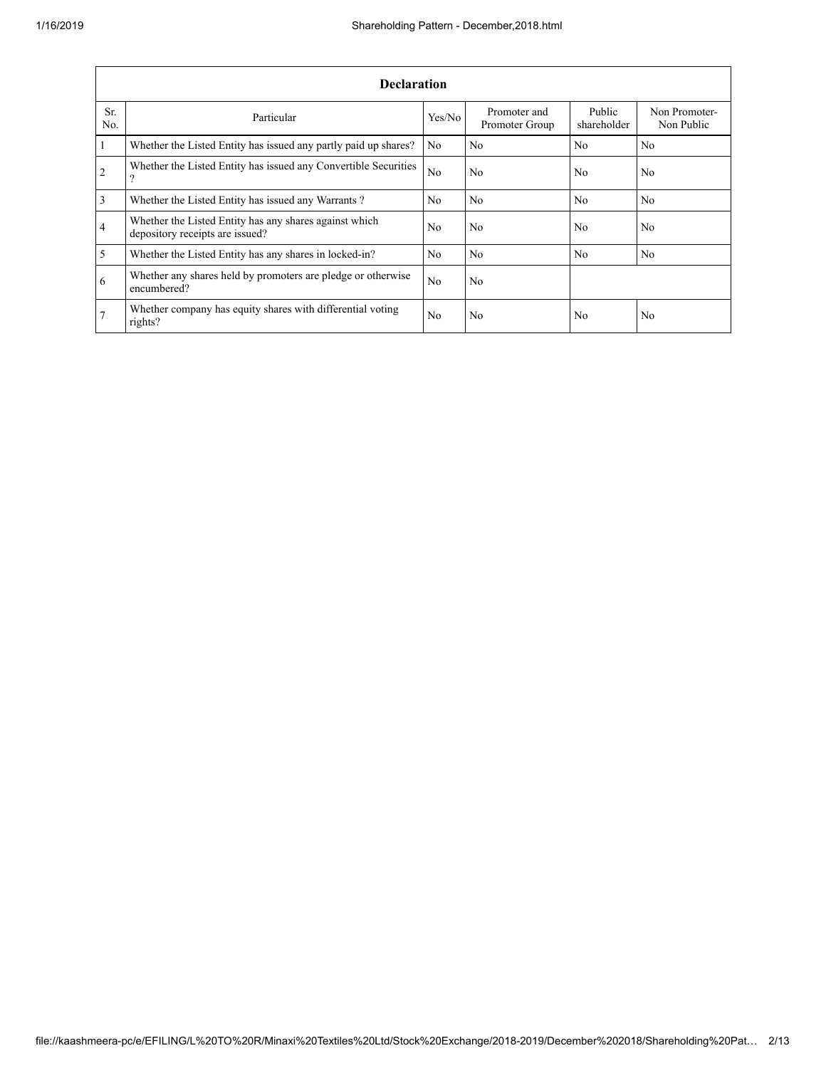|                         | <b>Declaration</b>                                                                        |                |                                |                       |                             |  |  |  |  |  |  |  |
|-------------------------|-------------------------------------------------------------------------------------------|----------------|--------------------------------|-----------------------|-----------------------------|--|--|--|--|--|--|--|
| Sr.<br>No.              | Particular                                                                                | Yes/No         | Promoter and<br>Promoter Group | Public<br>shareholder | Non Promoter-<br>Non Public |  |  |  |  |  |  |  |
| $\vert$ 1               | Whether the Listed Entity has issued any partly paid up shares?                           | N <sub>0</sub> | N <sub>0</sub>                 | N <sub>0</sub>        | N <sub>0</sub>              |  |  |  |  |  |  |  |
| 2                       | Whether the Listed Entity has issued any Convertible Securities<br>9                      | N <sub>0</sub> | N <sub>0</sub>                 | N <sub>0</sub>        | N <sub>0</sub>              |  |  |  |  |  |  |  |
| $\overline{\mathbf{3}}$ | Whether the Listed Entity has issued any Warrants?                                        | N <sub>0</sub> | N <sub>0</sub>                 | N <sub>0</sub>        | N <sub>0</sub>              |  |  |  |  |  |  |  |
| $\overline{4}$          | Whether the Listed Entity has any shares against which<br>depository receipts are issued? | N <sub>0</sub> | N <sub>0</sub>                 | N <sub>0</sub>        | N <sub>0</sub>              |  |  |  |  |  |  |  |
| $\overline{5}$          | Whether the Listed Entity has any shares in locked-in?                                    | N <sub>0</sub> | N <sub>0</sub>                 | N <sub>0</sub>        | N <sub>0</sub>              |  |  |  |  |  |  |  |
| 6                       | Whether any shares held by promoters are pledge or otherwise<br>encumbered?               | N <sub>0</sub> | N <sub>0</sub>                 |                       |                             |  |  |  |  |  |  |  |
| 7                       | Whether company has equity shares with differential voting<br>rights?                     | N <sub>0</sub> | N <sub>0</sub>                 | N <sub>0</sub>        | N <sub>0</sub>              |  |  |  |  |  |  |  |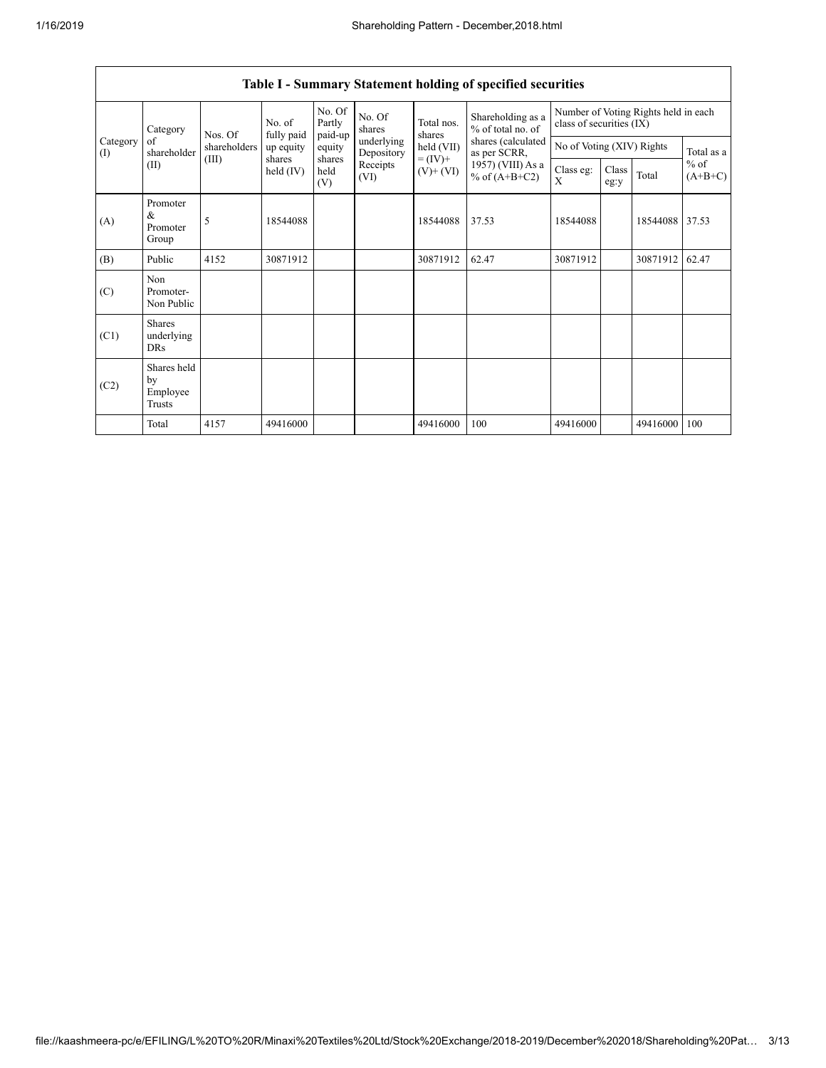|                 | Category                                  | Nos. Of      | No. of<br>fully paid  | No. Of<br>Partly<br>paid-up | No. Of<br>shares         | Total nos.<br>shares         | Shareholding as a<br>% of total no. of | Number of Voting Rights held in each<br>class of securities (IX) |               |          |                     |
|-----------------|-------------------------------------------|--------------|-----------------------|-----------------------------|--------------------------|------------------------------|----------------------------------------|------------------------------------------------------------------|---------------|----------|---------------------|
| Category<br>(I) | of<br>shareholder                         | shareholders | up equity             | equity                      | underlying<br>Depository | held (VII)                   | shares (calculated<br>as per SCRR,     | No of Voting (XIV) Rights                                        |               |          | Total as a          |
|                 | (II)                                      | (III)        | shares<br>held $(IV)$ | shares<br>held<br>(V)       | Receipts<br>(VI)         | $= (IV) +$<br>$(V)$ + $(VI)$ | 1957) (VIII) As a<br>% of $(A+B+C2)$   | Class eg:<br>X                                                   | Class<br>eg:y | Total    | $%$ of<br>$(A+B+C)$ |
| (A)             | Promoter<br>&<br>Promoter<br>Group        | 5            | 18544088              |                             |                          | 18544088                     | 37.53                                  | 18544088                                                         |               | 18544088 | 37.53               |
| (B)             | Public                                    | 4152         | 30871912              |                             |                          | 30871912                     | 62.47                                  | 30871912                                                         |               | 30871912 | 62.47               |
| (C)             | Non<br>Promoter-<br>Non Public            |              |                       |                             |                          |                              |                                        |                                                                  |               |          |                     |
| (C1)            | <b>Shares</b><br>underlying<br><b>DRs</b> |              |                       |                             |                          |                              |                                        |                                                                  |               |          |                     |
| (C2)            | Shares held<br>by<br>Employee<br>Trusts   |              |                       |                             |                          |                              |                                        |                                                                  |               |          |                     |
|                 | Total                                     | 4157         | 49416000              |                             |                          | 49416000                     | 100                                    | 49416000                                                         |               | 49416000 | 100                 |

## Table I - Summary Statement holding of specified securities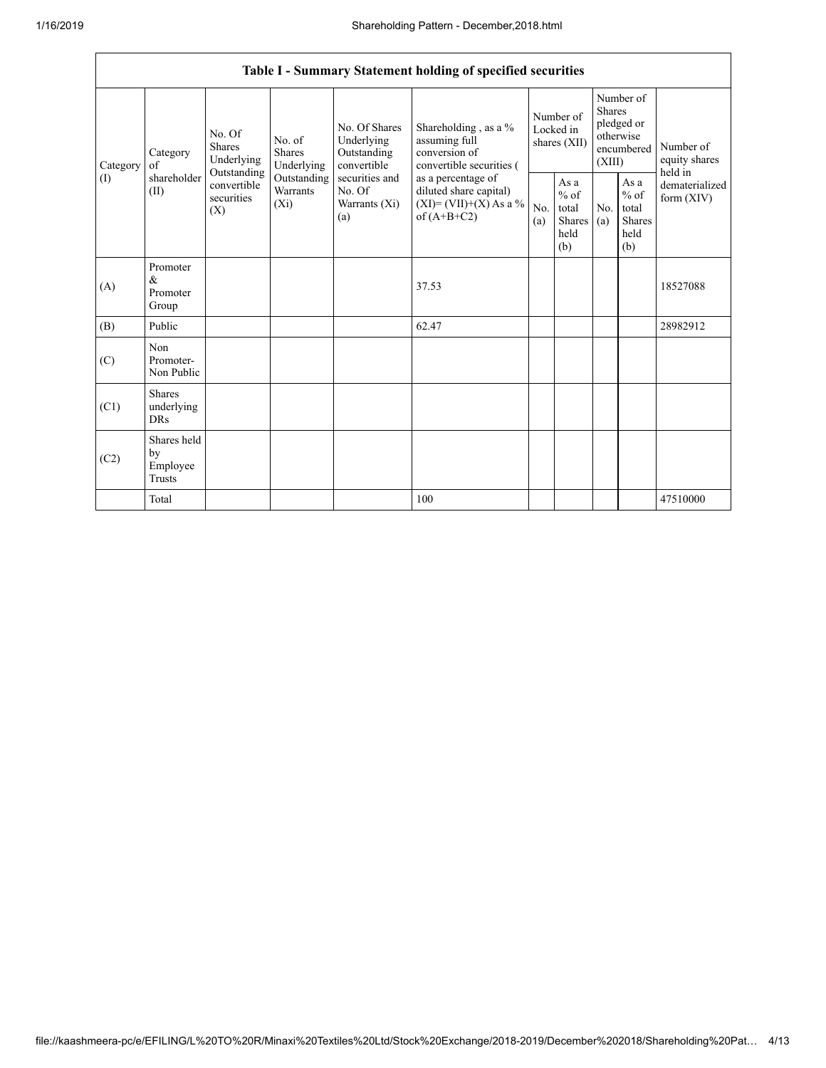|                 | Table I - Summary Statement holding of specified securities |                                                                                                                                                                         |                                                  |                                                                                            |                                                                                        |                                                    |            |                                                                               |                                |                                       |  |
|-----------------|-------------------------------------------------------------|-------------------------------------------------------------------------------------------------------------------------------------------------------------------------|--------------------------------------------------|--------------------------------------------------------------------------------------------|----------------------------------------------------------------------------------------|----------------------------------------------------|------------|-------------------------------------------------------------------------------|--------------------------------|---------------------------------------|--|
| Category<br>(1) | Category<br>of<br>shareholder<br>(II)                       | No. Of<br>No. of<br><b>Shares</b><br><b>Shares</b><br>Underlying<br>Underlying<br>Outstanding<br>Outstanding<br>convertible<br>Warrants<br>securities<br>$(X_i)$<br>(X) |                                                  | No. Of Shares<br>Underlying<br>Outstanding<br>convertible                                  | Shareholding , as a $\%$<br>assuming full<br>conversion of<br>convertible securities ( | Number of<br>Locked in<br>shares (XII)             |            | Number of<br><b>Shares</b><br>pledged or<br>otherwise<br>encumbered<br>(XIII) |                                | Number of<br>equity shares<br>held in |  |
|                 |                                                             |                                                                                                                                                                         | securities and<br>No. Of<br>Warrants (Xi)<br>(a) | as a percentage of<br>diluted share capital)<br>$(XI) = (VII)+(X) As a %$<br>of $(A+B+C2)$ | No.<br>(a)                                                                             | As $a$<br>$%$ of<br>total<br>Shares<br>held<br>(b) | No.<br>(a) | As a<br>$%$ of<br>total<br><b>Shares</b><br>held<br>(b)                       | dematerialized<br>form $(XIV)$ |                                       |  |
| (A)             | Promoter<br>&<br>Promoter<br>Group                          |                                                                                                                                                                         |                                                  |                                                                                            | 37.53                                                                                  |                                                    |            |                                                                               |                                | 18527088                              |  |
| (B)             | Public                                                      |                                                                                                                                                                         |                                                  |                                                                                            | 62.47                                                                                  |                                                    |            |                                                                               |                                | 28982912                              |  |
| (C)             | Non<br>Promoter-<br>Non Public                              |                                                                                                                                                                         |                                                  |                                                                                            |                                                                                        |                                                    |            |                                                                               |                                |                                       |  |
| (C1)            | <b>Shares</b><br>underlying<br><b>DRs</b>                   |                                                                                                                                                                         |                                                  |                                                                                            |                                                                                        |                                                    |            |                                                                               |                                |                                       |  |
| (C2)            | Shares held<br>by<br>Employee<br>Trusts                     |                                                                                                                                                                         |                                                  |                                                                                            |                                                                                        |                                                    |            |                                                                               |                                |                                       |  |
|                 | Total                                                       |                                                                                                                                                                         |                                                  |                                                                                            | 100                                                                                    |                                                    |            |                                                                               |                                | 47510000                              |  |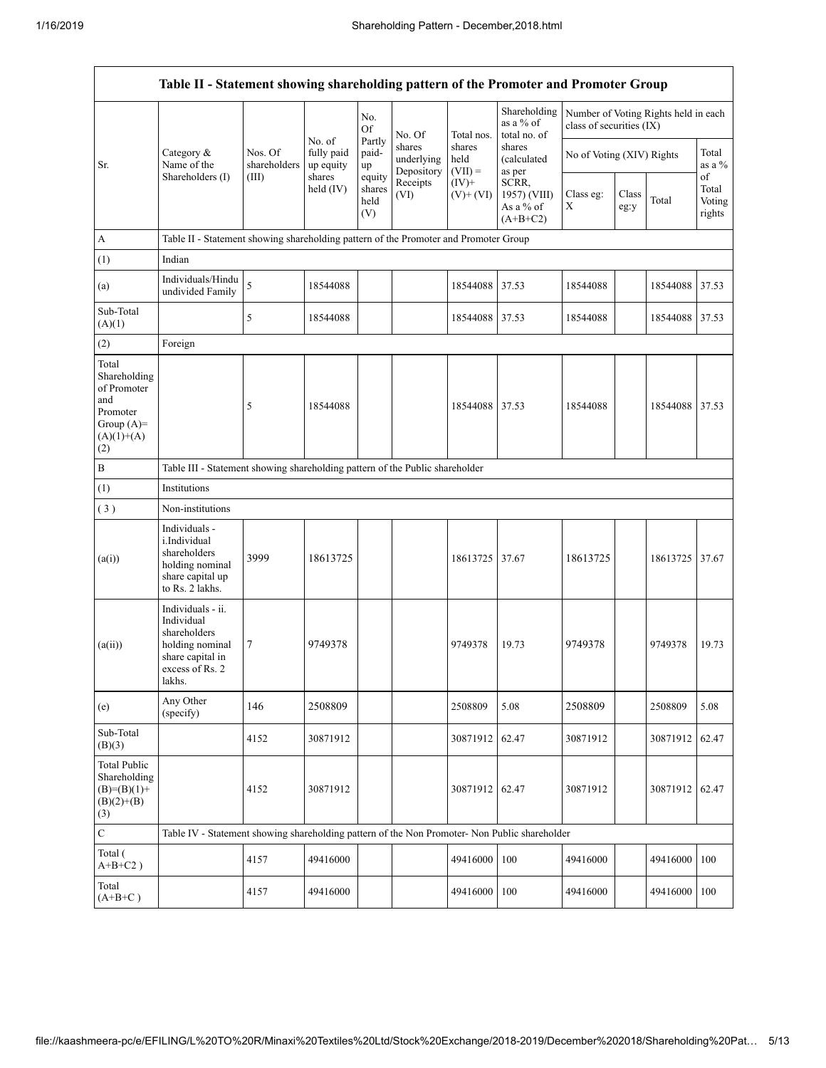|                                                                                                | Table II - Statement showing shareholding pattern of the Promoter and Promoter Group                                |                                                                              |                                   |                                 |                                    |                             |                                                  |                           |               |                                      |                           |
|------------------------------------------------------------------------------------------------|---------------------------------------------------------------------------------------------------------------------|------------------------------------------------------------------------------|-----------------------------------|---------------------------------|------------------------------------|-----------------------------|--------------------------------------------------|---------------------------|---------------|--------------------------------------|---------------------------|
|                                                                                                |                                                                                                                     |                                                                              |                                   | No.<br><b>Of</b>                | No. Of                             | Total nos.                  | Shareholding<br>as a % of<br>total no. of        | class of securities (IX)  |               | Number of Voting Rights held in each |                           |
| Sr.                                                                                            | Category &<br>Name of the                                                                                           | Nos. Of<br>shareholders                                                      | No. of<br>fully paid<br>up equity | Partly<br>paid-<br>up           | shares<br>underlying<br>Depository | shares<br>held<br>$(VII) =$ | shares<br>(calculated<br>as per                  | No of Voting (XIV) Rights |               |                                      | Total<br>as a %<br>of     |
|                                                                                                | Shareholders (I)                                                                                                    | (III)                                                                        | shares<br>held $(IV)$             | equity<br>shares<br>held<br>(V) | Receipts<br>(VI)                   | $(IV)+$<br>$(V)$ + $(VI)$   | SCRR,<br>1957) (VIII)<br>As a % of<br>$(A+B+C2)$ | Class eg:<br>X            | Class<br>eg:y | Total                                | Total<br>Voting<br>rights |
| $\mathbf{A}$                                                                                   | Table II - Statement showing shareholding pattern of the Promoter and Promoter Group                                |                                                                              |                                   |                                 |                                    |                             |                                                  |                           |               |                                      |                           |
| (1)                                                                                            | Indian                                                                                                              |                                                                              |                                   |                                 |                                    |                             |                                                  |                           |               |                                      |                           |
| (a)                                                                                            | Individuals/Hindu<br>undivided Family                                                                               | 5                                                                            | 18544088                          |                                 |                                    | 18544088                    | 37.53                                            | 18544088                  |               | 18544088                             | 37.53                     |
| Sub-Total<br>(A)(1)                                                                            |                                                                                                                     | 5                                                                            | 18544088                          |                                 |                                    | 18544088                    | 37.53                                            | 18544088                  |               | 18544088 37.53                       |                           |
| (2)                                                                                            | Foreign                                                                                                             |                                                                              |                                   |                                 |                                    |                             |                                                  |                           |               |                                      |                           |
| Total<br>Shareholding<br>of Promoter<br>and<br>Promoter<br>Group $(A)=$<br>$(A)(1)+(A)$<br>(2) |                                                                                                                     | 5                                                                            | 18544088                          |                                 |                                    | 18544088                    | 37.53                                            | 18544088                  |               | 18544088                             | 37.53                     |
| $\, {\bf B}$                                                                                   |                                                                                                                     | Table III - Statement showing shareholding pattern of the Public shareholder |                                   |                                 |                                    |                             |                                                  |                           |               |                                      |                           |
| (1)                                                                                            | Institutions                                                                                                        |                                                                              |                                   |                                 |                                    |                             |                                                  |                           |               |                                      |                           |
| (3)                                                                                            | Non-institutions                                                                                                    |                                                                              |                                   |                                 |                                    |                             |                                                  |                           |               |                                      |                           |
| (a(i))                                                                                         | Individuals -<br><i>i.Individual</i><br>shareholders<br>holding nominal<br>share capital up<br>to Rs. 2 lakhs.      | 3999                                                                         | 18613725                          |                                 |                                    | 18613725                    | 37.67                                            | 18613725                  |               | 18613725                             | 37.67                     |
| (a(ii))                                                                                        | Individuals - ii.<br>Individual<br>shareholders<br>holding nominal<br>share capital in<br>excess of Rs. 2<br>lakhs. | 7                                                                            | 9749378                           |                                 |                                    | 9749378                     | 19.73                                            | 9749378                   |               | 9749378                              | 19.73                     |
| (e)                                                                                            | Any Other<br>(specify)                                                                                              | 146                                                                          | 2508809                           |                                 |                                    | 2508809                     | 5.08                                             | 2508809                   |               | 2508809                              | 5.08                      |
| Sub-Total<br>(B)(3)                                                                            |                                                                                                                     | 4152                                                                         | 30871912                          |                                 |                                    | 30871912                    | 62.47                                            | 30871912                  |               | 30871912                             | 62.47                     |
| <b>Total Public</b><br>Shareholding<br>$(B)=(B)(1)+$<br>$(B)(2)+(B)$<br>(3)                    |                                                                                                                     | 4152                                                                         | 30871912                          |                                 |                                    | 30871912                    | 62.47                                            | 30871912                  |               | 30871912                             | 62.47                     |
| $\mathbf C$                                                                                    | Table IV - Statement showing shareholding pattern of the Non Promoter- Non Public shareholder                       |                                                                              |                                   |                                 |                                    |                             |                                                  |                           |               |                                      |                           |
| Total (<br>$A+B+C2$ )                                                                          |                                                                                                                     | 4157                                                                         | 49416000                          |                                 |                                    | 49416000                    | 100                                              | 49416000                  |               | 49416000                             | 100                       |
| Total<br>$(A+B+C)$                                                                             |                                                                                                                     | 4157                                                                         | 49416000                          |                                 |                                    | 49416000                    | 100                                              | 49416000                  |               | 49416000                             | 100                       |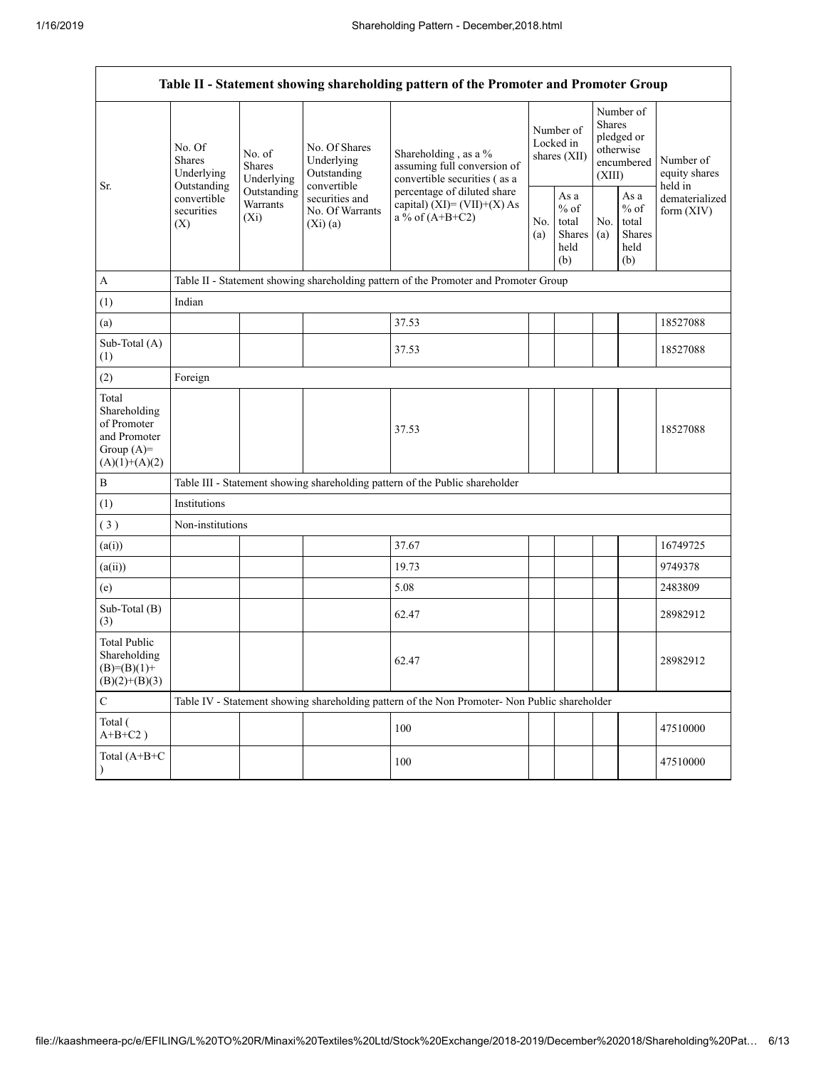| Table II - Statement showing shareholding pattern of the Promoter and Promoter Group    |                                                                                                                                                          |             |                                                             |                                                                                                                                                                           |  |                                                  |                                                                               |                                                          |                                       |  |  |  |
|-----------------------------------------------------------------------------------------|----------------------------------------------------------------------------------------------------------------------------------------------------------|-------------|-------------------------------------------------------------|---------------------------------------------------------------------------------------------------------------------------------------------------------------------------|--|--------------------------------------------------|-------------------------------------------------------------------------------|----------------------------------------------------------|---------------------------------------|--|--|--|
| Sr.<br>$\mathbf{A}$                                                                     | No. Of<br>No. of<br><b>Shares</b><br><b>Shares</b><br>Underlying<br>Underlying<br>Outstanding<br>convertible<br>Warrants<br>securities<br>$(X_i)$<br>(X) |             | No. Of Shares<br>Underlying<br>Outstanding                  | Shareholding, as a %<br>assuming full conversion of<br>convertible securities (as a<br>percentage of diluted share<br>capital) $(XI) = (VII)+(X) As$<br>a % of $(A+B+C2)$ |  | Number of<br>Locked in<br>shares (XII)           | Number of<br><b>Shares</b><br>pledged or<br>otherwise<br>encumbered<br>(XIII) |                                                          | Number of<br>equity shares<br>held in |  |  |  |
|                                                                                         |                                                                                                                                                          | Outstanding | convertible<br>securities and<br>No. Of Warrants<br>(Xi)(a) |                                                                                                                                                                           |  | As a<br>$%$ of<br>total<br>Shares<br>held<br>(b) | No.<br>(a)                                                                    | As a<br>$\%$ of<br>total<br><b>Shares</b><br>held<br>(b) | dematerialized<br>form (XIV)          |  |  |  |
|                                                                                         |                                                                                                                                                          |             |                                                             | Table II - Statement showing shareholding pattern of the Promoter and Promoter Group                                                                                      |  |                                                  |                                                                               |                                                          |                                       |  |  |  |
| (1)                                                                                     | Indian                                                                                                                                                   |             |                                                             |                                                                                                                                                                           |  |                                                  |                                                                               |                                                          |                                       |  |  |  |
| (a)                                                                                     |                                                                                                                                                          |             |                                                             | 37.53                                                                                                                                                                     |  |                                                  |                                                                               |                                                          | 18527088                              |  |  |  |
| Sub-Total (A)<br>(1)                                                                    |                                                                                                                                                          |             |                                                             | 37.53                                                                                                                                                                     |  |                                                  |                                                                               |                                                          | 18527088                              |  |  |  |
| (2)                                                                                     | Foreign                                                                                                                                                  |             |                                                             |                                                                                                                                                                           |  |                                                  |                                                                               |                                                          |                                       |  |  |  |
| Total<br>Shareholding<br>of Promoter<br>and Promoter<br>Group $(A)=$<br>$(A)(1)+(A)(2)$ |                                                                                                                                                          |             |                                                             | 37.53                                                                                                                                                                     |  |                                                  |                                                                               |                                                          | 18527088                              |  |  |  |
| $\, {\bf B}$                                                                            |                                                                                                                                                          |             |                                                             | Table III - Statement showing shareholding pattern of the Public shareholder                                                                                              |  |                                                  |                                                                               |                                                          |                                       |  |  |  |
| (1)                                                                                     | Institutions                                                                                                                                             |             |                                                             |                                                                                                                                                                           |  |                                                  |                                                                               |                                                          |                                       |  |  |  |
| (3)                                                                                     | Non-institutions                                                                                                                                         |             |                                                             |                                                                                                                                                                           |  |                                                  |                                                                               |                                                          |                                       |  |  |  |
| (a(i))                                                                                  |                                                                                                                                                          |             |                                                             | 37.67                                                                                                                                                                     |  |                                                  |                                                                               |                                                          | 16749725                              |  |  |  |
| (a(ii))                                                                                 |                                                                                                                                                          |             |                                                             | 19.73                                                                                                                                                                     |  |                                                  |                                                                               |                                                          | 9749378                               |  |  |  |
| (e)                                                                                     |                                                                                                                                                          |             |                                                             | 5.08                                                                                                                                                                      |  |                                                  |                                                                               |                                                          | 2483809                               |  |  |  |
| Sub-Total (B)<br>(3)                                                                    |                                                                                                                                                          |             |                                                             | 62.47                                                                                                                                                                     |  |                                                  |                                                                               |                                                          | 28982912                              |  |  |  |
| <b>Total Public</b><br>Shareholding<br>$(B)=(B)(1)+$<br>$(B)(2)+(B)(3)$                 |                                                                                                                                                          |             |                                                             | 62.47                                                                                                                                                                     |  |                                                  |                                                                               |                                                          | 28982912                              |  |  |  |
| $\mathbf C$                                                                             |                                                                                                                                                          |             |                                                             | Table IV - Statement showing shareholding pattern of the Non Promoter- Non Public shareholder                                                                             |  |                                                  |                                                                               |                                                          |                                       |  |  |  |
| Total (<br>$A+B+C2$ )                                                                   |                                                                                                                                                          |             |                                                             | 100                                                                                                                                                                       |  |                                                  |                                                                               |                                                          | 47510000                              |  |  |  |
| Total (A+B+C                                                                            |                                                                                                                                                          |             |                                                             | 100                                                                                                                                                                       |  |                                                  |                                                                               |                                                          | 47510000                              |  |  |  |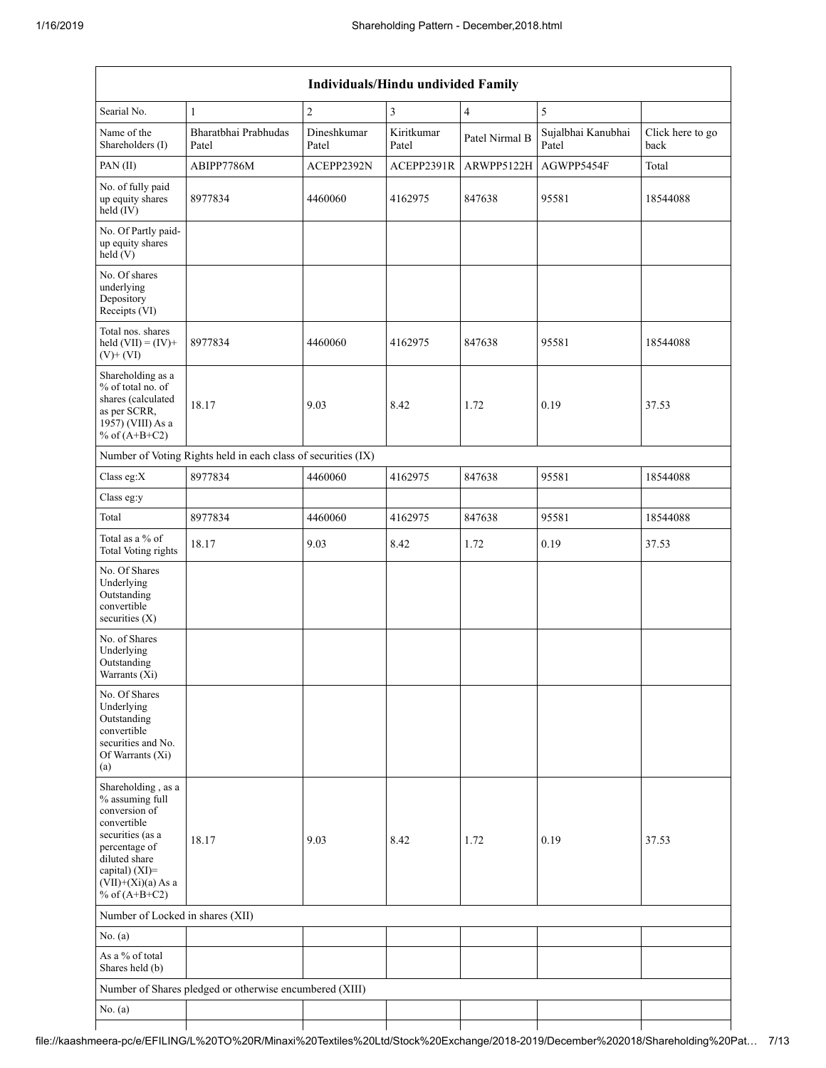|                                                                                                                                                                                          | <b>Individuals/Hindu undivided Family</b>                     |                      |                     |                |                             |                          |  |  |  |  |  |  |
|------------------------------------------------------------------------------------------------------------------------------------------------------------------------------------------|---------------------------------------------------------------|----------------------|---------------------|----------------|-----------------------------|--------------------------|--|--|--|--|--|--|
| Searial No.                                                                                                                                                                              | $\mathbf{1}$                                                  | $\overline{2}$       | 3                   | $\overline{4}$ | $\sqrt{5}$                  |                          |  |  |  |  |  |  |
| Name of the<br>Shareholders (I)                                                                                                                                                          | Bharatbhai Prabhudas<br>Patel                                 | Dineshkumar<br>Patel | Kiritkumar<br>Patel | Patel Nirmal B | Sujalbhai Kanubhai<br>Patel | Click here to go<br>back |  |  |  |  |  |  |
| PAN(II)                                                                                                                                                                                  | ABIPP7786M                                                    | ACEPP2392N           | ACEPP2391R          | ARWPP5122H     | AGWPP5454F                  | Total                    |  |  |  |  |  |  |
| No. of fully paid<br>up equity shares<br>$held$ (IV)                                                                                                                                     | 8977834                                                       | 4460060              | 4162975             | 847638         | 95581                       | 18544088                 |  |  |  |  |  |  |
| No. Of Partly paid-<br>up equity shares<br>held(V)                                                                                                                                       |                                                               |                      |                     |                |                             |                          |  |  |  |  |  |  |
| No. Of shares<br>underlying<br>Depository<br>Receipts (VI)                                                                                                                               |                                                               |                      |                     |                |                             |                          |  |  |  |  |  |  |
| Total nos. shares<br>held $(VII) = (IV) +$<br>$(V)$ + $(VI)$                                                                                                                             | 8977834                                                       | 4460060              | 4162975             | 847638         | 95581                       | 18544088                 |  |  |  |  |  |  |
| Shareholding as a<br>% of total no. of<br>shares (calculated<br>as per SCRR,<br>1957) (VIII) As a<br>% of $(A+B+C2)$                                                                     | 18.17                                                         | 9.03                 | 8.42                | 1.72           | 0.19                        | 37.53                    |  |  |  |  |  |  |
|                                                                                                                                                                                          | Number of Voting Rights held in each class of securities (IX) |                      |                     |                |                             |                          |  |  |  |  |  |  |
| Class eg:X                                                                                                                                                                               | 8977834                                                       | 4460060              | 4162975             | 847638         | 95581                       | 18544088                 |  |  |  |  |  |  |
| Class eg:y                                                                                                                                                                               |                                                               |                      |                     |                |                             |                          |  |  |  |  |  |  |
| Total                                                                                                                                                                                    | 8977834                                                       | 4460060              | 4162975             | 847638         | 95581                       | 18544088                 |  |  |  |  |  |  |
| Total as a $\%$ of<br>Total Voting rights                                                                                                                                                | 18.17                                                         | 9.03                 | 8.42                | 1.72           | 0.19                        | 37.53                    |  |  |  |  |  |  |
| No. Of Shares<br>Underlying<br>Outstanding<br>convertible<br>securities $(X)$                                                                                                            |                                                               |                      |                     |                |                             |                          |  |  |  |  |  |  |
| No. of Shares<br>Underlying<br>Outstanding<br>Warrants (Xi)                                                                                                                              |                                                               |                      |                     |                |                             |                          |  |  |  |  |  |  |
| No. Of Shares<br>Underlying<br>Outstanding<br>convertible<br>securities and No.<br>Of Warrants (Xi)<br>(a)                                                                               |                                                               |                      |                     |                |                             |                          |  |  |  |  |  |  |
| Shareholding, as a<br>% assuming full<br>conversion of<br>convertible<br>securities (as a<br>percentage of<br>diluted share<br>capital) (XI)=<br>$(VII)+(Xi)(a) As a$<br>% of $(A+B+C2)$ | 18.17                                                         | 9.03                 | 8.42                | 1.72           | 0.19                        | 37.53                    |  |  |  |  |  |  |
| Number of Locked in shares (XII)                                                                                                                                                         |                                                               |                      |                     |                |                             |                          |  |  |  |  |  |  |
| No. (a)                                                                                                                                                                                  |                                                               |                      |                     |                |                             |                          |  |  |  |  |  |  |
| As a % of total<br>Shares held (b)                                                                                                                                                       |                                                               |                      |                     |                |                             |                          |  |  |  |  |  |  |
|                                                                                                                                                                                          | Number of Shares pledged or otherwise encumbered (XIII)       |                      |                     |                |                             |                          |  |  |  |  |  |  |
| No. (a)                                                                                                                                                                                  |                                                               |                      |                     |                |                             |                          |  |  |  |  |  |  |
|                                                                                                                                                                                          |                                                               |                      |                     |                |                             |                          |  |  |  |  |  |  |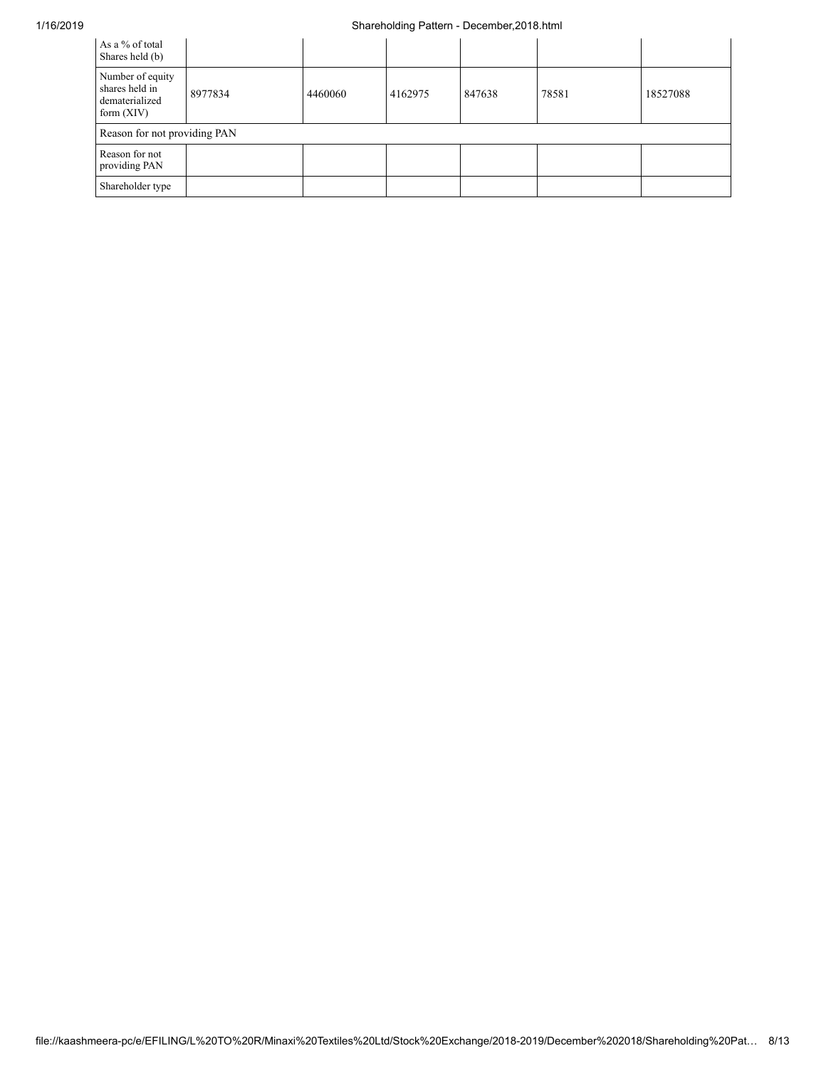## 1/16/2019 Shareholding Pattern - December,2018.html

| As a % of total<br>Shares held (b)                                   |         |         |         |        |       |          |
|----------------------------------------------------------------------|---------|---------|---------|--------|-------|----------|
| Number of equity<br>shares held in<br>dematerialized<br>form $(XIV)$ | 8977834 | 4460060 | 4162975 | 847638 | 78581 | 18527088 |
| Reason for not providing PAN                                         |         |         |         |        |       |          |
| Reason for not<br>providing PAN                                      |         |         |         |        |       |          |
| Shareholder type                                                     |         |         |         |        |       |          |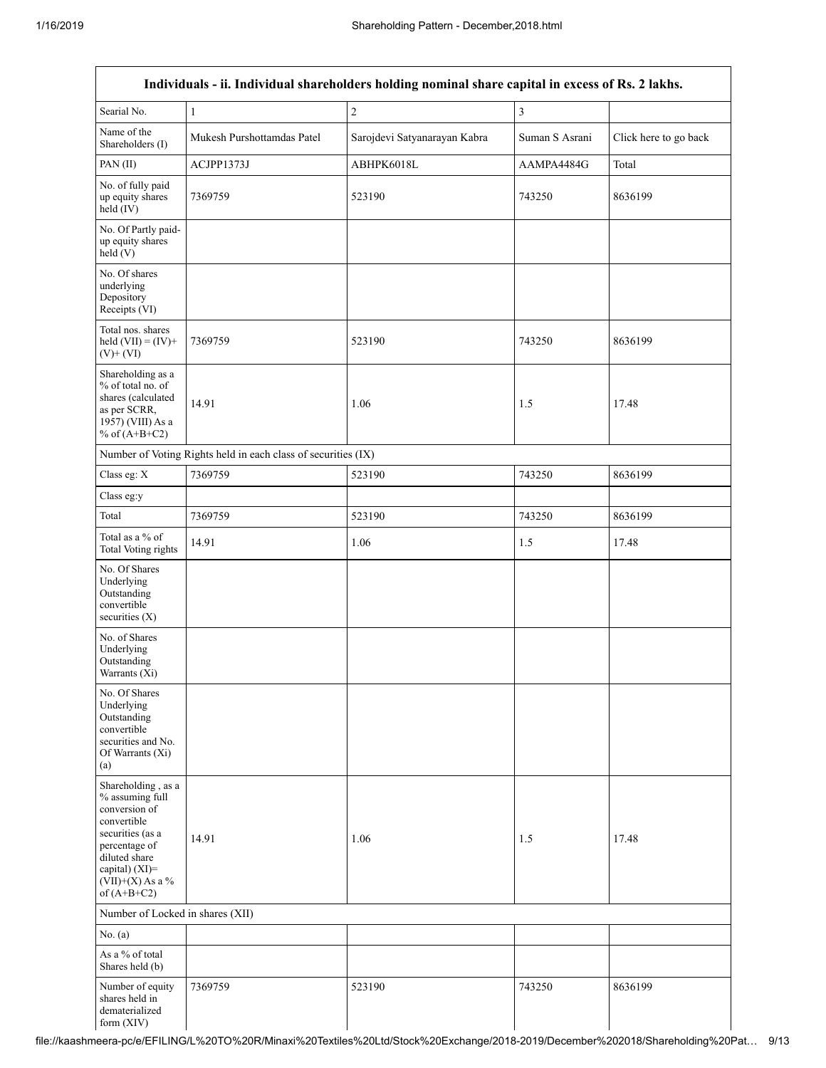| Individuals - ii. Individual shareholders holding nominal share capital in excess of Rs. 2 lakhs.                                                                                    |                                                               |                              |                |                       |  |  |  |  |  |  |
|--------------------------------------------------------------------------------------------------------------------------------------------------------------------------------------|---------------------------------------------------------------|------------------------------|----------------|-----------------------|--|--|--|--|--|--|
| Searial No.                                                                                                                                                                          | $\mathbf{1}$                                                  | $\overline{c}$               | $\overline{3}$ |                       |  |  |  |  |  |  |
| Name of the<br>Shareholders (I)                                                                                                                                                      | Mukesh Purshottamdas Patel                                    | Sarojdevi Satyanarayan Kabra | Suman S Asrani | Click here to go back |  |  |  |  |  |  |
| PAN (II)                                                                                                                                                                             | ACJPP1373J                                                    | ABHPK6018L                   | AAMPA4484G     | Total                 |  |  |  |  |  |  |
| No. of fully paid<br>up equity shares<br>$held$ (IV)                                                                                                                                 | 7369759                                                       | 523190                       | 743250         | 8636199               |  |  |  |  |  |  |
| No. Of Partly paid-<br>up equity shares<br>held(V)                                                                                                                                   |                                                               |                              |                |                       |  |  |  |  |  |  |
| No. Of shares<br>underlying<br>Depository<br>Receipts (VI)                                                                                                                           |                                                               |                              |                |                       |  |  |  |  |  |  |
| Total nos. shares<br>held $(VII) = (IV) +$<br>$(V)$ + $(VI)$                                                                                                                         | 7369759<br>523190<br>743250                                   |                              | 8636199        |                       |  |  |  |  |  |  |
| Shareholding as a<br>% of total no. of<br>shares (calculated<br>as per SCRR,<br>1957) (VIII) As a<br>% of $(A+B+C2)$                                                                 | 14.91<br>1.06<br>1.5                                          |                              | 17.48          |                       |  |  |  |  |  |  |
|                                                                                                                                                                                      | Number of Voting Rights held in each class of securities (IX) |                              |                |                       |  |  |  |  |  |  |
| Class eg: X                                                                                                                                                                          | 7369759                                                       | 523190                       | 743250         | 8636199               |  |  |  |  |  |  |
| Class eg:y                                                                                                                                                                           |                                                               |                              |                |                       |  |  |  |  |  |  |
| Total                                                                                                                                                                                | 7369759                                                       | 523190                       | 743250         | 8636199               |  |  |  |  |  |  |
| Total as a $\%$ of<br>Total Voting rights                                                                                                                                            | 14.91                                                         | 1.06                         | 1.5            | 17.48                 |  |  |  |  |  |  |
| No. Of Shares<br>Underlying<br>Outstanding<br>convertible<br>securities $(X)$                                                                                                        |                                                               |                              |                |                       |  |  |  |  |  |  |
| No. of Shares<br>Underlying<br>Outstanding<br>Warrants (Xi)                                                                                                                          |                                                               |                              |                |                       |  |  |  |  |  |  |
| No. Of Shares<br>Underlying<br>Outstanding<br>convertible<br>securities and No.<br>Of Warrants (Xi)<br>(a)                                                                           |                                                               |                              |                |                       |  |  |  |  |  |  |
| Shareholding, as a<br>% assuming full<br>conversion of<br>convertible<br>securities (as a<br>percentage of<br>diluted share<br>capital) (XI)=<br>$(VII)+(X)$ As a %<br>of $(A+B+C2)$ | 14.91                                                         | 1.06                         | 1.5            | 17.48                 |  |  |  |  |  |  |
| Number of Locked in shares (XII)                                                                                                                                                     |                                                               |                              |                |                       |  |  |  |  |  |  |
| No. (a)                                                                                                                                                                              |                                                               |                              |                |                       |  |  |  |  |  |  |
| As a % of total<br>Shares held (b)                                                                                                                                                   |                                                               |                              |                |                       |  |  |  |  |  |  |
| Number of equity<br>shares held in<br>dematerialized<br>form $(XIV)$                                                                                                                 | 7369759                                                       | 523190                       | 743250         | 8636199               |  |  |  |  |  |  |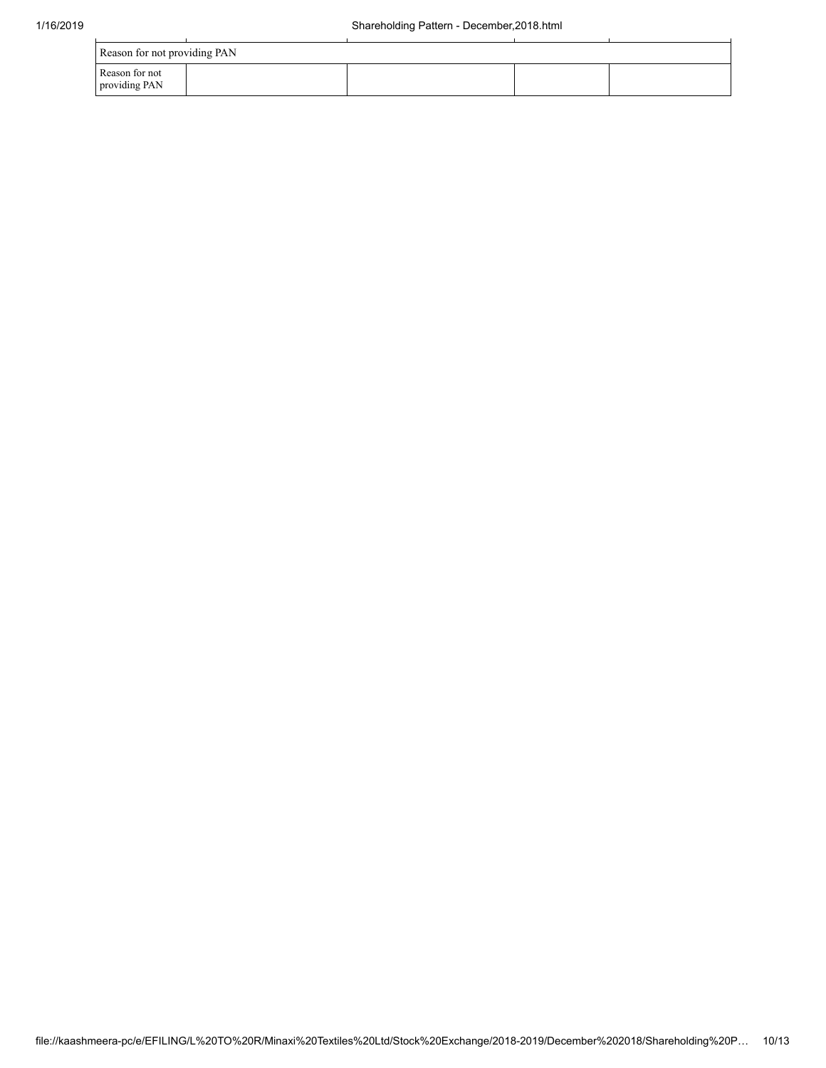|                                 | Reason for not providing PAN |  |  |  |  |  |  |  |  |  |  |
|---------------------------------|------------------------------|--|--|--|--|--|--|--|--|--|--|
| Reason for not<br>providing PAN |                              |  |  |  |  |  |  |  |  |  |  |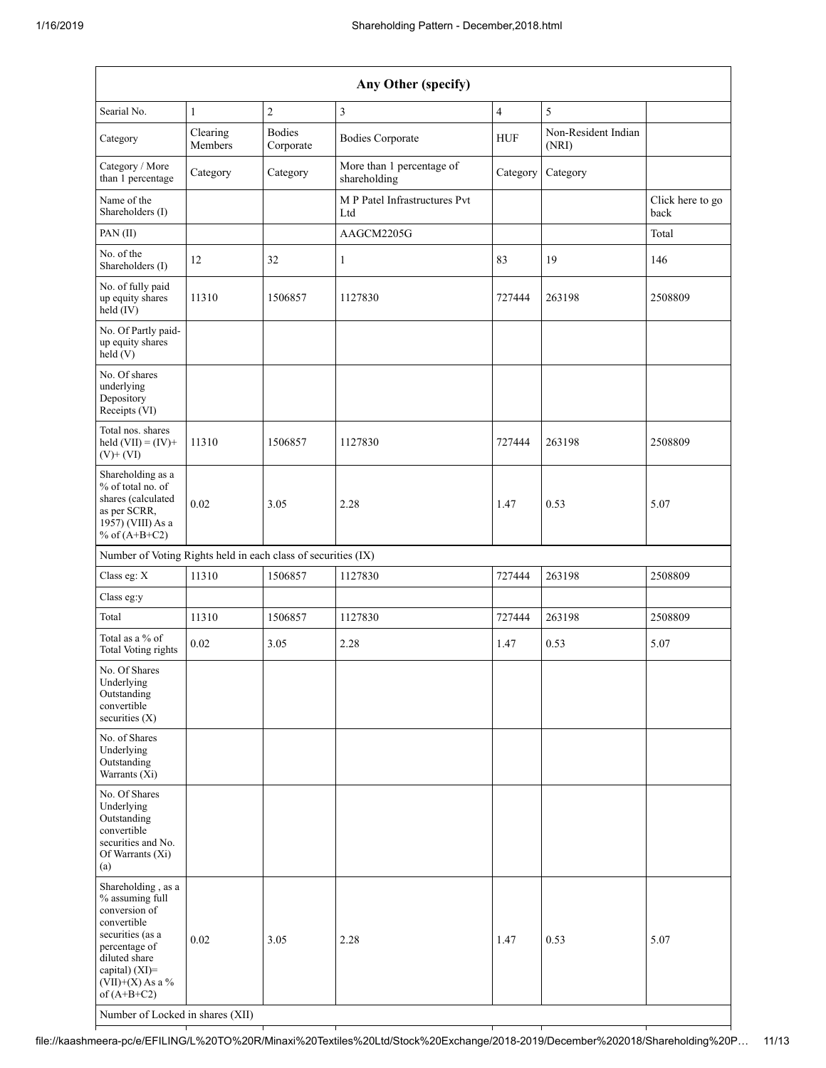| Any Other (specify)                                                                                                                                                                                                      |                     |                            |                                           |                |                              |                          |  |  |  |  |
|--------------------------------------------------------------------------------------------------------------------------------------------------------------------------------------------------------------------------|---------------------|----------------------------|-------------------------------------------|----------------|------------------------------|--------------------------|--|--|--|--|
| Searial No.                                                                                                                                                                                                              | $\mathbf{1}$        | $\overline{2}$             | 3                                         | $\overline{4}$ | $\mathfrak s$                |                          |  |  |  |  |
| Category                                                                                                                                                                                                                 | Clearing<br>Members | <b>Bodies</b><br>Corporate | <b>Bodies Corporate</b>                   | <b>HUF</b>     | Non-Resident Indian<br>(NRI) |                          |  |  |  |  |
| Category / More<br>than 1 percentage                                                                                                                                                                                     | Category            | Category                   | More than 1 percentage of<br>shareholding | Category       | Category                     |                          |  |  |  |  |
| Name of the<br>Shareholders (I)                                                                                                                                                                                          |                     |                            | M P Patel Infrastructures Pvt<br>Ltd      |                |                              | Click here to go<br>back |  |  |  |  |
| PAN(II)                                                                                                                                                                                                                  |                     |                            | AAGCM2205G                                |                |                              | Total                    |  |  |  |  |
| No. of the<br>Shareholders (I)                                                                                                                                                                                           | 12                  | 32                         | 1                                         | 83             | 19                           | 146                      |  |  |  |  |
| No. of fully paid<br>up equity shares<br>held (IV)                                                                                                                                                                       | 11310               | 1506857                    | 1127830                                   | 727444         | 263198                       | 2508809                  |  |  |  |  |
| No. Of Partly paid-<br>up equity shares<br>held (V)                                                                                                                                                                      |                     |                            |                                           |                |                              |                          |  |  |  |  |
| No. Of shares<br>underlying<br>Depository<br>Receipts (VI)                                                                                                                                                               |                     |                            |                                           |                |                              |                          |  |  |  |  |
| Total nos. shares<br>held $(VII) = (IV) +$<br>$(V)+(VI)$                                                                                                                                                                 | 11310               | 1506857                    | 1127830                                   | 727444         | 263198                       | 2508809                  |  |  |  |  |
| Shareholding as a<br>% of total no. of<br>shares (calculated<br>as per SCRR,<br>1957) (VIII) As a<br>% of $(A+B+C2)$                                                                                                     | 0.02                | 3.05                       | 2.28                                      | 1.47           | 0.53                         | 5.07                     |  |  |  |  |
| Number of Voting Rights held in each class of securities (IX)                                                                                                                                                            |                     |                            |                                           |                |                              |                          |  |  |  |  |
| Class eg: X                                                                                                                                                                                                              | 11310               | 1506857                    | 1127830                                   | 727444         | 263198                       | 2508809                  |  |  |  |  |
| Class eg:y                                                                                                                                                                                                               |                     |                            |                                           |                |                              |                          |  |  |  |  |
| Total                                                                                                                                                                                                                    | 11310               | 1506857                    | 1127830                                   | 727444         | 263198                       | 2508809                  |  |  |  |  |
| Total as a % of<br>Total Voting rights                                                                                                                                                                                   | 0.02                | 3.05                       | 2.28                                      | 1.47           | 0.53                         | 5.07                     |  |  |  |  |
| No. Of Shares<br>Underlying<br>Outstanding<br>convertible<br>securities $(X)$                                                                                                                                            |                     |                            |                                           |                |                              |                          |  |  |  |  |
| No. of Shares<br>Underlying<br>Outstanding<br>Warrants (Xi)                                                                                                                                                              |                     |                            |                                           |                |                              |                          |  |  |  |  |
| No. Of Shares<br>Underlying<br>Outstanding<br>convertible<br>securities and No.<br>Of Warrants (Xi)<br>(a)                                                                                                               |                     |                            |                                           |                |                              |                          |  |  |  |  |
| Shareholding, as a<br>% assuming full<br>conversion of<br>convertible<br>securities (as a<br>percentage of<br>diluted share<br>capital) (XI)=<br>$(VII)+(X)$ As a %<br>of $(A+B+C2)$<br>Number of Locked in shares (XII) | 0.02                | 3.05                       | 2.28                                      | 1.47           | 0.53                         | 5.07                     |  |  |  |  |